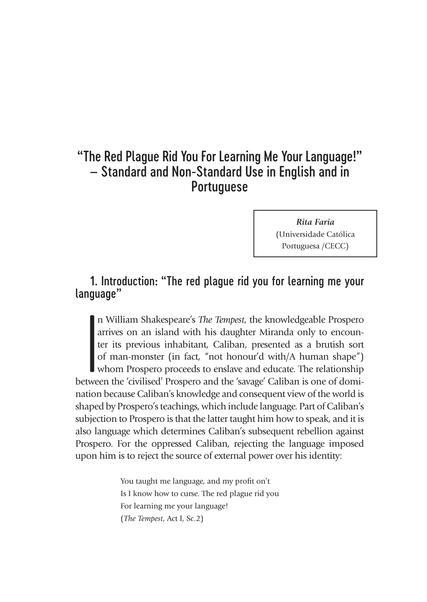# "The Red Plague Rid You For Learning Me Your Language!" – Standard and Non-Standard Use in English and in Portuguese

*Rita Faria* (Universidade Católica Portuguesa /CECC)

# 1. Introduction: "The red plague rid you for learning me your language"

 $\begin{bmatrix} 1 \\ 2 \\ 1 \\ 3 \\ 4 \end{bmatrix}$  twee n William Shakespeare's *The Tempest*, the knowledgeable Prospero arrives on an island with his daughter Miranda only to encounter its previous inhabitant, Caliban, presented as a brutish sort of man-monster (in fact, "not honour'd with/A human shape") whom Prospero proceeds to enslave and educate. The relationship between the 'civilised' Prospero and the 'savage' Caliban is one of domination because Caliban's knowledge and consequent view of the world is shaped by Prospero's teachings, which include language. Part of Caliban's subjection to Prospero is that the latter taught him how to speak, and it is also language which determines Caliban's subsequent rebellion against Prospero. For the oppressed Caliban, rejecting the language imposed upon him is to reject the source of external power over his identity:

> You taught me language, and my profit on't Is I know how to curse. The red plague rid you For learning me your language! (*The Tempest*, Act I, Sc.2)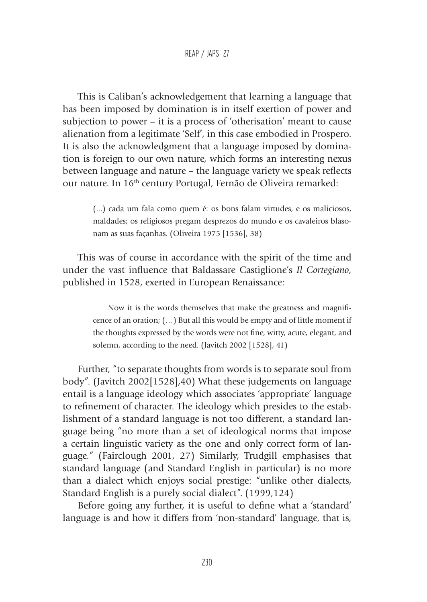This is Caliban's acknowledgement that learning a language that has been imposed by domination is in itself exertion of power and subjection to power – it is a process of 'otherisation' meant to cause alienation from a legitimate 'Self', in this case embodied in Prospero. It is also the acknowledgment that a language imposed by domination is foreign to our own nature, which forms an interesting nexus between language and nature – the language variety we speak reflects our nature. In 16th century Portugal, Fernão de Oliveira remarked:

> (...) cada um fala como quem é: os bons falam virtudes, e os maliciosos, maldades; os religiosos pregam desprezos do mundo e os cavaleiros blasonam as suas façanhas. (Oliveira 1975 [1536], 38)

This was of course in accordance with the spirit of the time and under the vast influence that Baldassare Castiglione's *Il Cortegiano*, published in 1528, exerted in European Renaissance:

> Now it is the words themselves that make the greatness and magnificence of an oration; (…) But all this would be empty and of little moment if the thoughts expressed by the words were not fine, witty, acute, elegant, and solemn, according to the need. (Javitch 2002 [1528], 41)

Further, "to separate thoughts from words is to separate soul from body". (Javitch 2002[1528],40) What these judgements on language entail is a language ideology which associates 'appropriate' language to refinement of character. The ideology which presides to the establishment of a standard language is not too different, a standard language being "no more than a set of ideological norms that impose a certain linguistic variety as the one and only correct form of language." (Fairclough 2001, 27) Similarly, Trudgill emphasises that standard language (and Standard English in particular) is no more than a dialect which enjoys social prestige: "unlike other dialects, Standard English is a purely social dialect". (1999,124)

Before going any further, it is useful to define what a 'standard' language is and how it differs from 'non-standard' language, that is,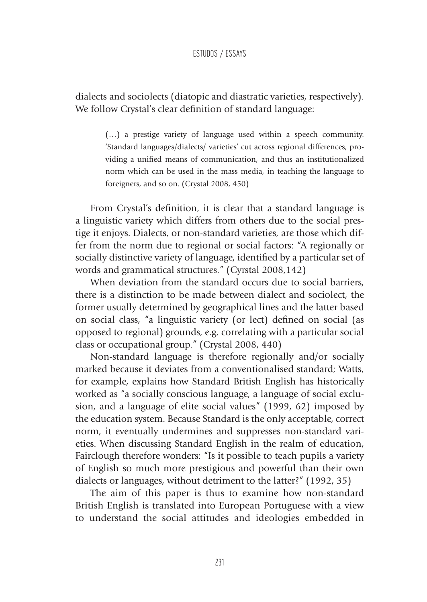dialects and sociolects (diatopic and diastratic varieties, respectively). We follow Crystal's clear definition of standard language:

> (…) a prestige variety of language used within a speech community. 'Standard languages/dialects/ varieties' cut across regional differences, providing a unified means of communication, and thus an institutionalized norm which can be used in the mass media, in teaching the language to foreigners, and so on. (Crystal 2008, 450)

From Crystal's definition, it is clear that a standard language is a linguistic variety which differs from others due to the social prestige it enjoys. Dialects, or non-standard varieties, are those which differ from the norm due to regional or social factors: "A regionally or socially distinctive variety of language, identified by a particular set of words and grammatical structures." (Cyrstal 2008,142)

When deviation from the standard occurs due to social barriers, there is a distinction to be made between dialect and sociolect, the former usually determined by geographical lines and the latter based on social class, "a linguistic variety (or lect) defined on social (as opposed to regional) grounds, e.g. correlating with a particular social class or occupational group." (Crystal 2008, 440)

Non-standard language is therefore regionally and/or socially marked because it deviates from a conventionalised standard; Watts, for example, explains how Standard British English has historically worked as "a socially conscious language, a language of social exclusion, and a language of elite social values" (1999, 62) imposed by the education system. Because Standard is the only acceptable, correct norm, it eventually undermines and suppresses non-standard varieties. When discussing Standard English in the realm of education, Fairclough therefore wonders: "Is it possible to teach pupils a variety of English so much more prestigious and powerful than their own dialects or languages, without detriment to the latter?" (1992, 35)

The aim of this paper is thus to examine how non-standard British English is translated into European Portuguese with a view to understand the social attitudes and ideologies embedded in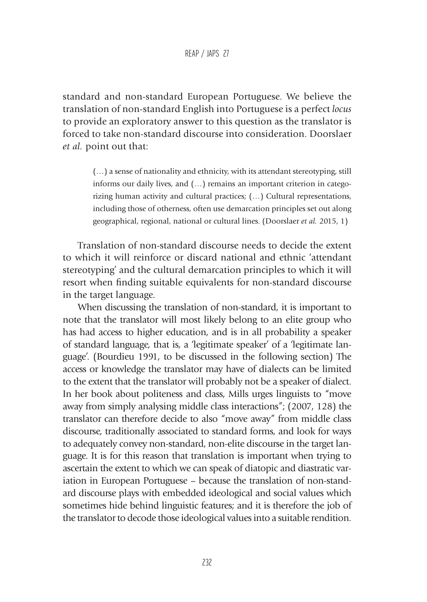standard and non-standard European Portuguese. We believe the translation of non-standard English into Portuguese is a perfect *locus* to provide an exploratory answer to this question as the translator is forced to take non-standard discourse into consideration. Doorslaer *et al.* point out that:

> (…) a sense of nationality and ethnicity, with its attendant stereotyping, still informs our daily lives, and (…) remains an important criterion in categorizing human activity and cultural practices; (…) Cultural representations, including those of otherness, often use demarcation principles set out along geographical, regional, national or cultural lines. (Doorslaer *et al.* 2015, 1)

Translation of non-standard discourse needs to decide the extent to which it will reinforce or discard national and ethnic 'attendant stereotyping' and the cultural demarcation principles to which it will resort when finding suitable equivalents for non-standard discourse in the target language.

When discussing the translation of non-standard, it is important to note that the translator will most likely belong to an elite group who has had access to higher education, and is in all probability a speaker of standard language, that is, a 'legitimate speaker' of a 'legitimate language'. (Bourdieu 1991, to be discussed in the following section) The access or knowledge the translator may have of dialects can be limited to the extent that the translator will probably not be a speaker of dialect. In her book about politeness and class, Mills urges linguists to "move away from simply analysing middle class interactions"; (2007, 128) the translator can therefore decide to also "move away" from middle class discourse, traditionally associated to standard forms, and look for ways to adequately convey non-standard, non-elite discourse in the target language. It is for this reason that translation is important when trying to ascertain the extent to which we can speak of diatopic and diastratic variation in European Portuguese – because the translation of non-standard discourse plays with embedded ideological and social values which sometimes hide behind linguistic features; and it is therefore the job of the translator to decode those ideological values into a suitable rendition.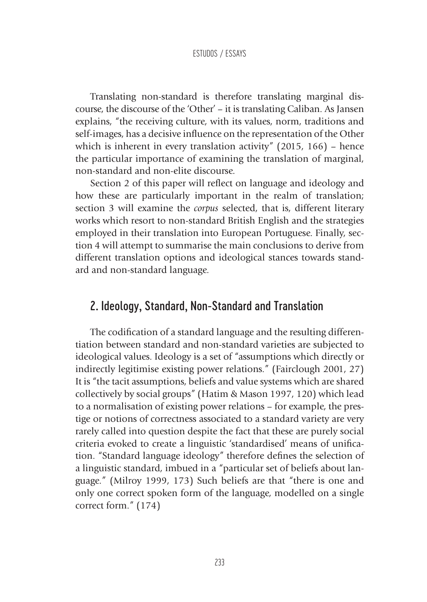Translating non-standard is therefore translating marginal discourse, the discourse of the 'Other' – it is translating Caliban. As Jansen explains, "the receiving culture, with its values, norm, traditions and self-images, has a decisive influence on the representation of the Other which is inherent in every translation activity" (2015, 166) – hence the particular importance of examining the translation of marginal, non-standard and non-elite discourse.

Section 2 of this paper will reflect on language and ideology and how these are particularly important in the realm of translation; section 3 will examine the *corpus* selected, that is, different literary works which resort to non-standard British English and the strategies employed in their translation into European Portuguese. Finally, section 4 will attempt to summarise the main conclusions to derive from different translation options and ideological stances towards standard and non-standard language.

# 2. Ideology, Standard, Non-Standard and Translation

The codification of a standard language and the resulting differentiation between standard and non-standard varieties are subjected to ideological values. Ideology is a set of "assumptions which directly or indirectly legitimise existing power relations." (Fairclough 2001, 27) It is "the tacit assumptions, beliefs and value systems which are shared collectively by social groups" (Hatim & Mason 1997, 120) which lead to a normalisation of existing power relations – for example, the prestige or notions of correctness associated to a standard variety are very rarely called into question despite the fact that these are purely social criteria evoked to create a linguistic 'standardised' means of unification. "Standard language ideology" therefore defines the selection of a linguistic standard, imbued in a "particular set of beliefs about language." (Milroy 1999, 173) Such beliefs are that "there is one and only one correct spoken form of the language, modelled on a single correct form." (174)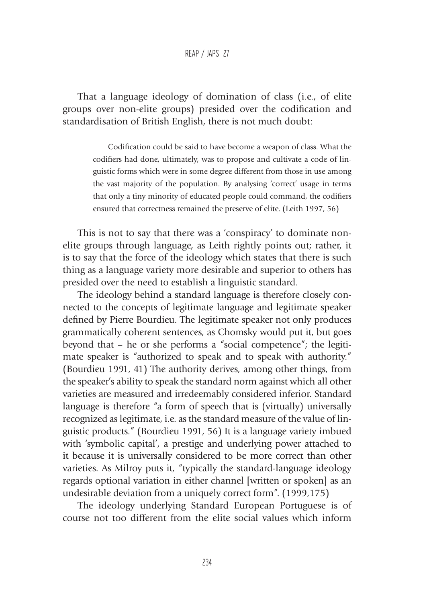#### REAP / JAPS 27

That a language ideology of domination of class (i.e., of elite groups over non-elite groups) presided over the codification and standardisation of British English, there is not much doubt:

> Codification could be said to have become a weapon of class. What the codifiers had done, ultimately, was to propose and cultivate a code of linguistic forms which were in some degree different from those in use among the vast majority of the population. By analysing 'correct' usage in terms that only a tiny minority of educated people could command, the codifiers ensured that correctness remained the preserve of elite. (Leith 1997, 56)

This is not to say that there was a 'conspiracy' to dominate nonelite groups through language, as Leith rightly points out; rather, it is to say that the force of the ideology which states that there is such thing as a language variety more desirable and superior to others has presided over the need to establish a linguistic standard.

The ideology behind a standard language is therefore closely connected to the concepts of legitimate language and legitimate speaker defined by Pierre Bourdieu. The legitimate speaker not only produces grammatically coherent sentences, as Chomsky would put it, but goes beyond that – he or she performs a "social competence"; the legitimate speaker is "authorized to speak and to speak with authority." (Bourdieu 1991, 41) The authority derives, among other things, from the speaker's ability to speak the standard norm against which all other varieties are measured and irredeemably considered inferior. Standard language is therefore "a form of speech that is (virtually) universally recognized as legitimate, i.e. as the standard measure of the value of linguistic products." (Bourdieu 1991, 56) It is a language variety imbued with 'symbolic capital', a prestige and underlying power attached to it because it is universally considered to be more correct than other varieties. As Milroy puts it, "typically the standard-language ideology regards optional variation in either channel [written or spoken] as an undesirable deviation from a uniquely correct form". (1999,175)

The ideology underlying Standard European Portuguese is of course not too different from the elite social values which inform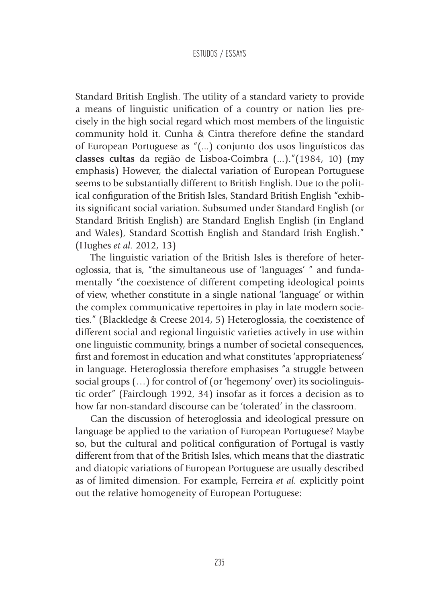Standard British English. The utility of a standard variety to provide a means of linguistic unification of a country or nation lies precisely in the high social regard which most members of the linguistic community hold it. Cunha & Cintra therefore define the standard of European Portuguese as "(...) conjunto dos usos linguísticos das **classes cultas** da região de Lisboa-Coimbra (...)."(1984, 10) (my emphasis) However, the dialectal variation of European Portuguese seems to be substantially different to British English. Due to the political configuration of the British Isles, Standard British English "exhibits significant social variation. Subsumed under Standard English (or Standard British English) are Standard English English (in England and Wales), Standard Scottish English and Standard Irish English." (Hughes *et al.* 2012, 13)

The linguistic variation of the British Isles is therefore of heteroglossia, that is, "the simultaneous use of 'languages' " and fundamentally "the coexistence of different competing ideological points of view, whether constitute in a single national 'language' or within the complex communicative repertoires in play in late modern societies." (Blackledge & Creese 2014, 5) Heteroglossia, the coexistence of different social and regional linguistic varieties actively in use within one linguistic community, brings a number of societal consequences, first and foremost in education and what constitutes 'appropriateness' in language. Heteroglossia therefore emphasises "a struggle between social groups (…) for control of (or 'hegemony' over) its sociolinguistic order" (Fairclough 1992, 34) insofar as it forces a decision as to how far non-standard discourse can be 'tolerated' in the classroom.

Can the discussion of heteroglossia and ideological pressure on language be applied to the variation of European Portuguese? Maybe so, but the cultural and political configuration of Portugal is vastly different from that of the British Isles, which means that the diastratic and diatopic variations of European Portuguese are usually described as of limited dimension. For example, Ferreira *et al.* explicitly point out the relative homogeneity of European Portuguese: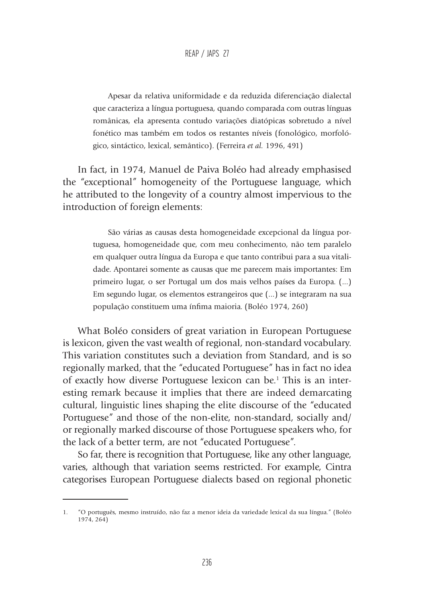Apesar da relativa uniformidade e da reduzida diferenciação dialectal que caracteriza a língua portuguesa, quando comparada com outras línguas românicas, ela apresenta contudo variações diatópicas sobretudo a nível fonético mas também em todos os restantes níveis (fonológico, morfológico, sintáctico, lexical, semântico). (Ferreira *et al.* 1996, 491)

In fact, in 1974, Manuel de Paiva Boléo had already emphasised the "exceptional" homogeneity of the Portuguese language, which he attributed to the longevity of a country almost impervious to the introduction of foreign elements:

> São várias as causas desta homogeneidade excepcional da língua portuguesa, homogeneidade que, com meu conhecimento, não tem paralelo em qualquer outra língua da Europa e que tanto contribui para a sua vitalidade. Apontarei somente as causas que me parecem mais importantes: Em primeiro lugar, o ser Portugal um dos mais velhos países da Europa. (...) Em segundo lugar, os elementos estrangeiros que (...) se integraram na sua população constituem uma ínfima maioria. (Boléo 1974, 260)

What Boléo considers of great variation in European Portuguese is lexicon, given the vast wealth of regional, non-standard vocabulary. This variation constitutes such a deviation from Standard, and is so regionally marked, that the "educated Portuguese" has in fact no idea of exactly how diverse Portuguese lexicon can be.<sup>1</sup> This is an interesting remark because it implies that there are indeed demarcating cultural, linguistic lines shaping the elite discourse of the "educated Portuguese" and those of the non-elite, non-standard, socially and/ or regionally marked discourse of those Portuguese speakers who, for the lack of a better term, are not "educated Portuguese".

So far, there is recognition that Portuguese, like any other language, varies, although that variation seems restricted. For example, Cintra categorises European Portuguese dialects based on regional phonetic

<sup>1.</sup> "O português, mesmo instruído, não faz a menor ideia da variedade lexical da sua língua." (Boléo 1974, 264)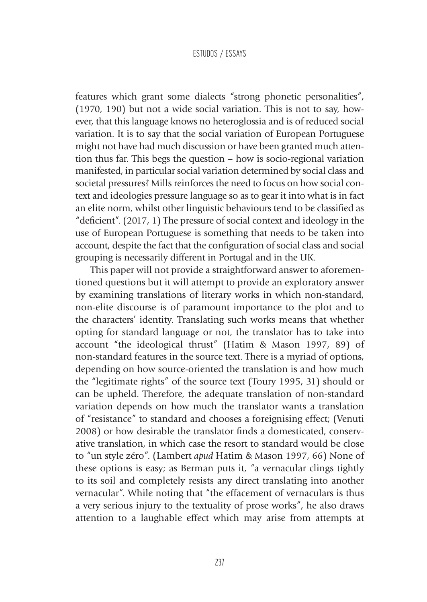features which grant some dialects "strong phonetic personalities", (1970, 190) but not a wide social variation. This is not to say, however, that this language knows no heteroglossia and is of reduced social variation. It is to say that the social variation of European Portuguese might not have had much discussion or have been granted much attention thus far. This begs the question – how is socio-regional variation manifested, in particular social variation determined by social class and societal pressures? Mills reinforces the need to focus on how social context and ideologies pressure language so as to gear it into what is in fact an elite norm, whilst other linguistic behaviours tend to be classified as "deficient". (2017, 1) The pressure of social context and ideology in the use of European Portuguese is something that needs to be taken into account, despite the fact that the configuration of social class and social grouping is necessarily different in Portugal and in the UK.

This paper will not provide a straightforward answer to aforementioned questions but it will attempt to provide an exploratory answer by examining translations of literary works in which non-standard, non-elite discourse is of paramount importance to the plot and to the characters' identity. Translating such works means that whether opting for standard language or not, the translator has to take into account "the ideological thrust" (Hatim & Mason 1997, 89) of non-standard features in the source text. There is a myriad of options, depending on how source-oriented the translation is and how much the "legitimate rights" of the source text (Toury 1995, 31) should or can be upheld. Therefore, the adequate translation of non-standard variation depends on how much the translator wants a translation of "resistance" to standard and chooses a foreignising effect; (Venuti 2008) or how desirable the translator finds a domesticated, conservative translation, in which case the resort to standard would be close to "un style zéro". (Lambert *apud* Hatim & Mason 1997, 66) None of these options is easy; as Berman puts it, "a vernacular clings tightly to its soil and completely resists any direct translating into another vernacular". While noting that "the effacement of vernaculars is thus a very serious injury to the textuality of prose works", he also draws attention to a laughable effect which may arise from attempts at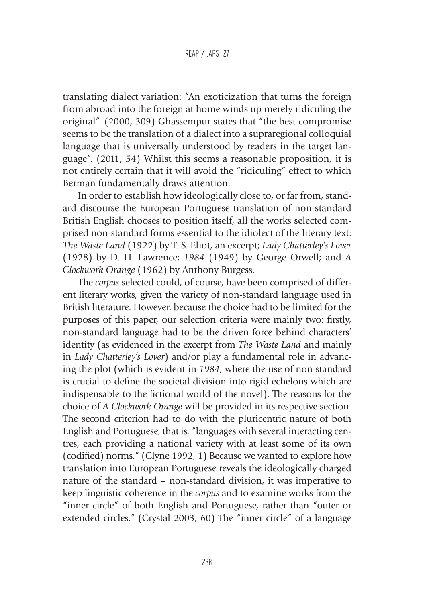translating dialect variation: "An exoticization that turns the foreign from abroad into the foreign at home winds up merely ridiculing the original". (2000, 309) Ghassempur states that "the best compromise seems to be the translation of a dialect into a supraregional colloquial language that is universally understood by readers in the target language". (2011, 54) Whilst this seems a reasonable proposition, it is not entirely certain that it will avoid the "ridiculing" effect to which Berman fundamentally draws attention.

In order to establish how ideologically close to, or far from, standard discourse the European Portuguese translation of non-standard British English chooses to position itself, all the works selected comprised non-standard forms essential to the idiolect of the literary text: *The Waste Land* (1922) by T. S. Eliot, an excerpt; *Lady Chatterley's Lover*  (1928) by D. H. Lawrence; *1984* (1949) by George Orwell; and *A Clockwork Orange* (1962) by Anthony Burgess.

The *corpus* selected could, of course, have been comprised of different literary works, given the variety of non-standard language used in British literature. However, because the choice had to be limited for the purposes of this paper, our selection criteria were mainly two: firstly, non-standard language had to be the driven force behind characters' identity (as evidenced in the excerpt from *The Waste Land* and mainly in *Lady Chatterley's Lover*) and/or play a fundamental role in advancing the plot (which is evident in *1984*, where the use of non-standard is crucial to define the societal division into rigid echelons which are indispensable to the fictional world of the novel). The reasons for the choice of *A Clockwork Orange* will be provided in its respective section. The second criterion had to do with the pluricentric nature of both English and Portuguese, that is, "languages with several interacting centres, each providing a national variety with at least some of its own (codified) norms." (Clyne 1992, 1) Because we wanted to explore how translation into European Portuguese reveals the ideologically charged nature of the standard – non-standard division, it was imperative to keep linguistic coherence in the *corpus* and to examine works from the "inner circle" of both English and Portuguese, rather than "outer or extended circles." (Crystal 2003, 60) The "inner circle" of a language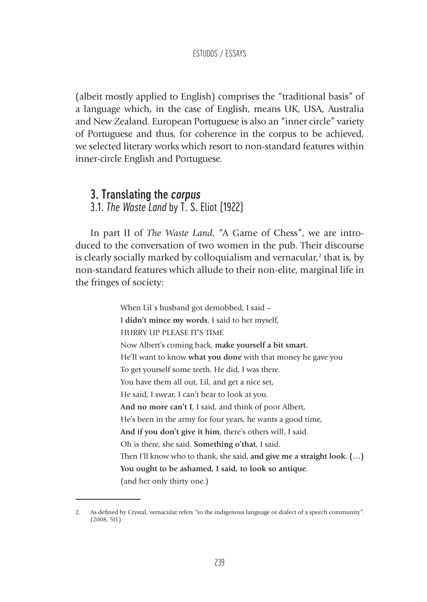(albeit mostly applied to English) comprises the "traditional basis" of a language which, in the case of English, means UK, USA, Australia and New Zealand. European Portuguese is also an "inner circle" variety of Portuguese and thus, for coherence in the corpus to be achieved, we selected literary works which resort to non-standard features within inner-circle English and Portuguese.

### 3. Translating the *corpus*

3.1. *The Waste Land* by T. S. Eliot (1922)

In part II of *The Waste Land*, "A Game of Chess", we are introduced to the conversation of two women in the pub. Their discourse is clearly socially marked by colloquialism and vernacular,<sup>2</sup> that is, by non-standard features which allude to their non-elite, marginal life in the fringes of society:

> When Lil´s husband got demobbed, I said – I **didn't mince my words**, I said to her myself, HURRY UP PLEASE IT'S TIME Now Albert's coming back, **make yourself a bit smart.** He'll want to know **what you done** with that money he gave you To get yourself some teeth. He did, I was there. You have them all out, Lil, and get a nice set, He said, I swear, I can't bear to look at you. **And no more can't I**, I said, and think of poor Albert, He's been in the army for four years, he wants a good time, **And if you don't give it him**, there's others will, I said. Oh is there, she said. **Something o'that**, I said. Then I'll know who to thank, she said, **and give me a straight look. (…) You ought to be ashamed, I said, to look so antique.** (and her only thirty one.)

<sup>2.</sup> As defined by Crystal, vernacular refers "to the indigenous language or dialect of a speech community". (2008, 511)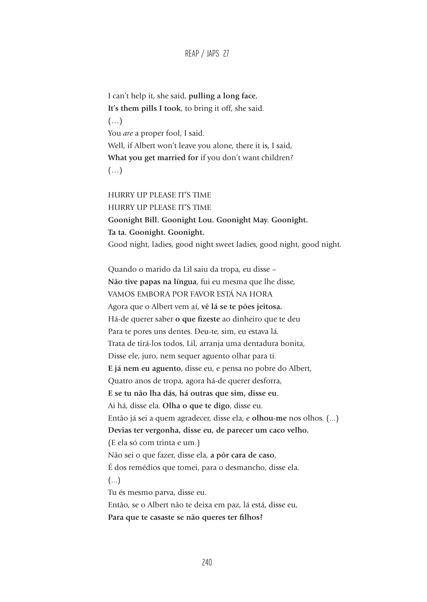REAP / JAPS 27

I can't help it, she said, **pulling a long face**, **It's them pills I took**, to bring it off, she said. (…) You *are* a proper fool, I said. Well, if Albert won't leave you alone, there it is, I said, **What you get married for** if you don't want children?  $(\ldots)$ 

HURRY UP PLEASE IT'S TIME HURRY UP PLEASE IT'S TIME **Goonight Bill. Goonight Lou. Goonight May. Goonight. Ta ta. Goonight. Goonight.** Good night, ladies, good night sweet ladies, good night, good night.

Quando o marido da Lil saiu da tropa, eu disse – **Não tive papas na língua**, fui eu mesma que lhe disse, VAMOS EMBORA POR FAVOR ESTÁ NA HORA Agora que o Albert vem aí, **vê lá se te pões jeitosa.** Há-de querer saber **o que fizeste** ao dinheiro que te deu Para te pores uns dentes. Deu-te, sim, eu estava lá. Trata de tirá-los todos, Lil, arranja uma dentadura bonita, Disse ele, juro, nem sequer aguento olhar para ti. **E já nem eu aguento**, disse eu, e pensa no pobre do Albert, Quatro anos de tropa, agora há-de querer desforra, **E se tu não lha dás, há outras que sim, disse eu**. Ai há, disse ela. **Olha o que te digo**, disse eu. Então já sei a quem agradecer, disse ela, e **olhou-me** nos olhos. (...) **Devias ter vergonha, disse eu, de parecer um caco velho.** (E ela só com trinta e um.) Não sei o que fazer, disse ela, **a pôr cara de caso**, É dos remédios que tomei, para o desmancho, disse ela. (...) Tu és mesmo parva, disse eu. Então, se o Albert não te deixa em paz, lá está, disse eu,

**Para que te casaste se não queres ter filhos?**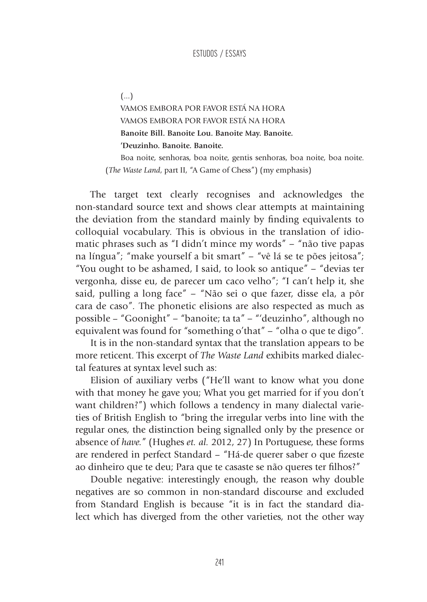(...)

VAMOS EMBORA POR FAVOR ESTÁ NA HORA VAMOS EMBORA POR FAVOR ESTÁ NA HORA **Banoite Bill. Banoite Lou. Banoite May. Banoite. 'Deuzinho. Banoite. Banoite.**

Boa noite, senhoras, boa noite, gentis senhoras, boa noite, boa noite. (*The Waste Land*, part II, "A Game of Chess") (my emphasis)

The target text clearly recognises and acknowledges the non-standard source text and shows clear attempts at maintaining the deviation from the standard mainly by finding equivalents to colloquial vocabulary. This is obvious in the translation of idiomatic phrases such as "I didn't mince my words" *–* "não tive papas na língua"; "make yourself a bit smart" *–* "vê lá se te pões jeitosa"; "You ought to be ashamed, I said, to look so antique" *–* "devias ter vergonha, disse eu, de parecer um caco velho"; "I can't help it, she said, pulling a long face" *–* "Não sei o que fazer, disse ela, a pôr cara de caso"*.* The phonetic elisions are also respected as much as possible – "Goonight" *–* "banoite; ta ta" *–* "'deuzinho", although no equivalent was found for "something o'that" *–* "olha o que te digo"*.* 

It is in the non-standard syntax that the translation appears to be more reticent. This excerpt of *The Waste Land* exhibits marked dialectal features at syntax level such as:

Elision of auxiliary verbs ("He'll want to know what you done with that money he gave you; What you get married for if you don't want children?") which follows a tendency in many dialectal varieties of British English to "bring the irregular verbs into line with the regular ones, the distinction being signalled only by the presence or absence of *have.*" (Hughes *et. al.* 2012, 27) In Portuguese, these forms are rendered in perfect Standard – "Há-de querer saber o que fizeste ao dinheiro que te deu; Para que te casaste se não queres ter filhos?"

Double negative: interestingly enough, the reason why double negatives are so common in non-standard discourse and excluded from Standard English is because "it is in fact the standard dialect which has diverged from the other varieties, not the other way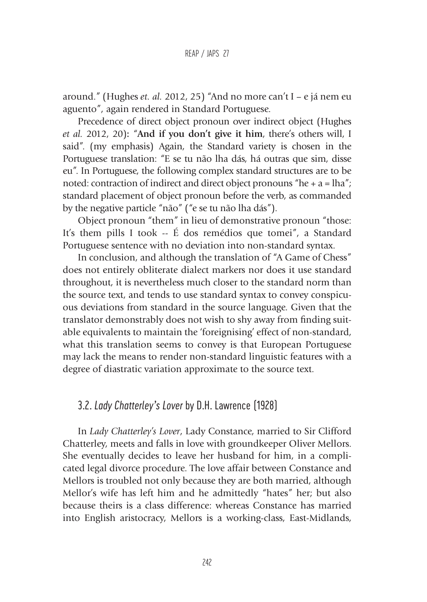around." (Hughes *et. al.* 2012, 25) "And no more can't I – e já nem eu aguento", again rendered in Standard Portuguese.

Precedence of direct object pronoun over indirect object (Hughes *et al.* 2012, 20)**:** "**And if you don't give it him**, there's others will, I said". (my emphasis) Again, the Standard variety is chosen in the Portuguese translation: "E se tu não lha dás, há outras que sim, disse eu". In Portuguese, the following complex standard structures are to be noted: contraction of indirect and direct object pronouns "he  $+ a =$  lha"; standard placement of object pronoun before the verb, as commanded by the negative particle "não" ("e se tu não lha dás").

Object pronoun "them" in lieu of demonstrative pronoun "those: It's them pills I took -- É dos remédios que tomei", a Standard Portuguese sentence with no deviation into non-standard syntax.

In conclusion, and although the translation of "A Game of Chess" does not entirely obliterate dialect markers nor does it use standard throughout, it is nevertheless much closer to the standard norm than the source text, and tends to use standard syntax to convey conspicuous deviations from standard in the source language. Given that the translator demonstrably does not wish to shy away from finding suitable equivalents to maintain the 'foreignising' effect of non-standard, what this translation seems to convey is that European Portuguese may lack the means to render non-standard linguistic features with a degree of diastratic variation approximate to the source text.

### 3.2. *Lady Chatterley's Lover* by D.H. Lawrence (1928)

In *Lady Chatterley's Lover*, Lady Constance, married to Sir Clifford Chatterley, meets and falls in love with groundkeeper Oliver Mellors. She eventually decides to leave her husband for him, in a complicated legal divorce procedure. The love affair between Constance and Mellors is troubled not only because they are both married, although Mellor's wife has left him and he admittedly "hates" her; but also because theirs is a class difference: whereas Constance has married into English aristocracy, Mellors is a working-class, East-Midlands,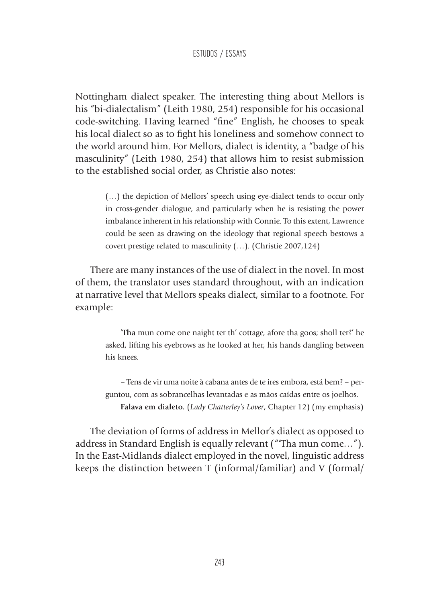Nottingham dialect speaker. The interesting thing about Mellors is his "bi-dialectalism" (Leith 1980, 254) responsible for his occasional code-switching. Having learned "fine" English, he chooses to speak his local dialect so as to fight his loneliness and somehow connect to the world around him. For Mellors, dialect is identity, a "badge of his masculinity" (Leith 1980, 254) that allows him to resist submission to the established social order, as Christie also notes:

> (…) the depiction of Mellors' speech using eye-dialect tends to occur only in cross-gender dialogue, and particularly when he is resisting the power imbalance inherent in his relationship with Connie. To this extent, Lawrence could be seen as drawing on the ideology that regional speech bestows a covert prestige related to masculinity (…). (Christie 2007,124)

There are many instances of the use of dialect in the novel. In most of them, the translator uses standard throughout, with an indication at narrative level that Mellors speaks dialect, similar to a footnote. For example:

> '**Tha** mun come one naight ter th' cottage, afore tha goos; sholl ter?' he asked, lifting his eyebrows as he looked at her, his hands dangling between his knees.

> – Tens de vir uma noite à cabana antes de te ires embora, está bem? – perguntou, com as sobrancelhas levantadas e as mãos caídas entre os joelhos. **Falava em dialeto.** (*Lady Chatterley's Lover*, Chapter 12) (my emphasis)

The deviation of forms of address in Mellor's dialect as opposed to address in Standard English is equally relevant ("'Tha mun come…"). In the East-Midlands dialect employed in the novel, linguistic address keeps the distinction between T (informal/familiar) and V (formal/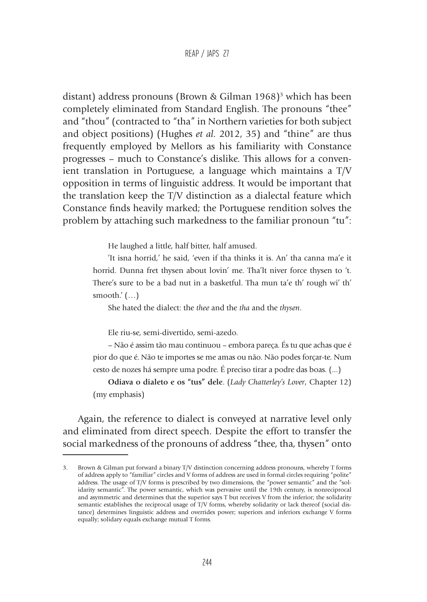distant) address pronouns (Brown & Gilman 1968)<sup>3</sup> which has been completely eliminated from Standard English. The pronouns "thee" and "thou" (contracted to "tha" in Northern varieties for both subject and object positions) (Hughes *et al.* 2012, 35) and "thine" are thus frequently employed by Mellors as his familiarity with Constance progresses – much to Constance's dislike. This allows for a convenient translation in Portuguese, a language which maintains a T/V opposition in terms of linguistic address. It would be important that the translation keep the T/V distinction as a dialectal feature which Constance finds heavily marked; the Portuguese rendition solves the problem by attaching such markedness to the familiar pronoun "tu":

He laughed a little, half bitter, half amused.

'It isna horrid,' he said, 'even if tha thinks it is. An' tha canna ma'e it horrid. Dunna fret thysen about lovin' me. Tha'lt niver force thysen to 't. There's sure to be a bad nut in a basketful. Tha mun ta'e th' rough wi' th' smooth. $'(...)$ 

She hated the dialect: the *thee* and the *tha* and the *thysen*.

Ele riu-se, semi-divertido, semi-azedo.

– Não é assim tão mau continuou – embora pareça. És tu que achas que é pior do que é. Não te importes se me amas ou não. Não podes forçar-te. Num cesto de nozes há sempre uma podre. É preciso tirar a podre das boas. (...)

**Odiava o dialeto e os "tus" dele**. (*Lady Chatterley's Lover*, Chapter 12) (my emphasis)

Again, the reference to dialect is conveyed at narrative level only and eliminated from direct speech. Despite the effort to transfer the social markedness of the pronouns of address "thee, tha, thysen" onto

<sup>3.</sup> Brown & Gilman put forward a binary T/V distinction concerning address pronouns, whereby T forms of address apply to "familiar" circles and V forms of address are used in formal circles requiring "polite" address. The usage of T/V forms is prescribed by two dimensions, the "power semantic" and the "solidarity semantic". The power semantic, which was pervasive until the 19th century, is nonreciprocal and asymmetric and determines that the superior says T but receives V from the inferior; the solidarity semantic establishes the reciprocal usage of T/V forms, whereby solidarity or lack thereof (social distance) determines linguistic address and overrides power; superiors and inferiors exchange V forms equally; solidary equals exchange mutual T forms.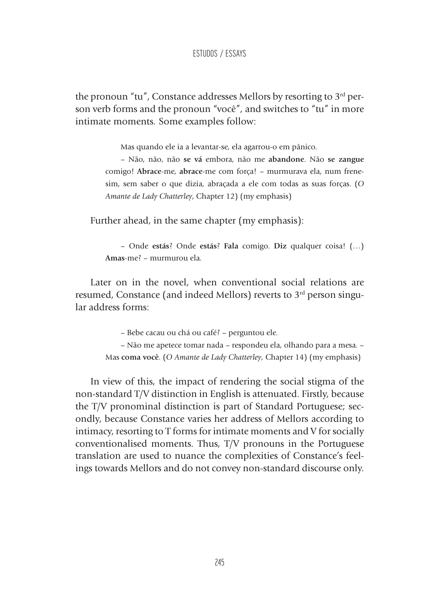the pronoun "tu", Constance addresses Mellors by resorting to  $3<sup>rd</sup>$  person verb forms and the pronoun "você", and switches to "tu" in more intimate moments*.* Some examples follow:

Mas quando ele ia a levantar-se, ela agarrou-o em pânico.

– Não, não, não **se vá** embora, não me **abandone**. Não **se zangue** comigo! **Abrace**-me, **abrace**-me com força! – murmurava ela, num frenesim, sem saber o que dizia, abraçada a ele com todas as suas forças. (*O Amante de Lady Chatterley*, Chapter 12) (my emphasis)

Further ahead, in the same chapter (my emphasis):

– Onde **estás**? Onde **estás**? **Fala** comigo. **Diz** qualquer coisa! (…) **Amas**-me? – murmurou ela.

Later on in the novel, when conventional social relations are resumed, Constance (and indeed Mellors) reverts to 3<sup>rd</sup> person singular address forms:

– Bebe cacau ou chá ou café? – perguntou ele.

– Não me apetece tomar nada – respondeu ela, olhando para a mesa. – Mas **coma você**. (*O Amante de Lady Chatterley*, Chapter 14) (my emphasis)

In view of this, the impact of rendering the social stigma of the non-standard T/V distinction in English is attenuated. Firstly, because the T/V pronominal distinction is part of Standard Portuguese; secondly, because Constance varies her address of Mellors according to intimacy, resorting to T forms for intimate moments and V for socially conventionalised moments. Thus, T/V pronouns in the Portuguese translation are used to nuance the complexities of Constance's feelings towards Mellors and do not convey non-standard discourse only.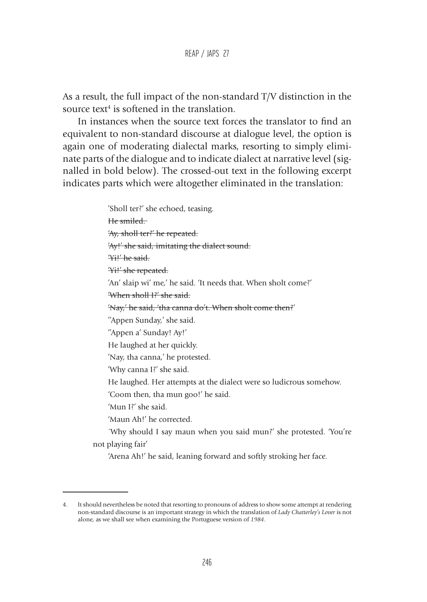As a result, the full impact of the non-standard T/V distinction in the source text<sup>4</sup> is softened in the translation.

In instances when the source text forces the translator to find an equivalent to non-standard discourse at dialogue level, the option is again one of moderating dialectal marks, resorting to simply eliminate parts of the dialogue and to indicate dialect at narrative level (signalled in bold below). The crossed-out text in the following excerpt indicates parts which were altogether eliminated in the translation:

> 'Sholl ter?' she echoed, teasing. He smiled. 'Ay, sholl ter?' he repeated. 'Ay!' she said, imitating the dialect sound. 'Yi!' he said. 'Yi!' she repeated. 'An' slaip wi' me,' he said. 'It needs that. When sholt come?' 'When sholl I?' she said. 'Nay,' he said, 'tha canna do't. When sholt come then?' ''Appen Sunday,' she said. ''Appen a' Sunday! Ay!' He laughed at her quickly. 'Nay, tha canna,' he protested. 'Why canna I?' she said. He laughed. Her attempts at the dialect were so ludicrous somehow. 'Coom then, tha mun goo!' he said. 'Mun I?' she said. 'Maun Ah!' he corrected. ´Why should I say maun when you said mun?' she protested. 'You're not playing fair'

'Arena Ah!' he said, leaning forward and softly stroking her face.

<sup>4.</sup> It should nevertheless be noted that resorting to pronouns of address to show some attempt at rendering non-standard discourse is an important strategy in which the translation of *Lady Chatterley's Lover* is not alone, as we shall see when examining the Portuguese version of *1984*.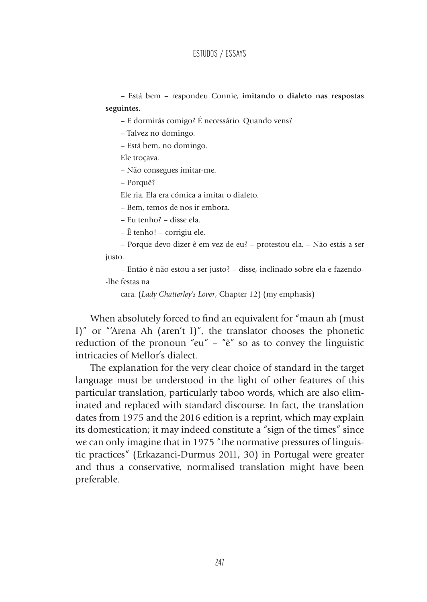– Está bem – respondeu Connie, **imitando o dialeto nas respostas seguintes.** 

– E dormirás comigo? É necessário. Quando vens?

– Talvez no domingo.

– Está bem, no domingo.

Ele troçava.

– Não consegues imitar-me.

– Porquê?

Ele ria. Ela era cómica a imitar o dialeto.

– Bem, temos de nos ir embora.

– Eu tenho? – disse ela.

– Ê tenho! – corrigiu ele.

– Porque devo dizer ê em vez de eu? – protestou ela. – Não estás a ser justo.

– Então ê não estou a ser justo? – disse, inclinado sobre ela e fazendo- -lhe festas na

cara. (*Lady Chatterley's Lover*, Chapter 12) (my emphasis)

When absolutely forced to find an equivalent for "maun ah (must I)" or "'Arena Ah (aren't I)", the translator chooses the phonetic reduction of the pronoun "eu" – " $\hat{e}$ " so as to convey the linguistic intricacies of Mellor's dialect.

The explanation for the very clear choice of standard in the target language must be understood in the light of other features of this particular translation, particularly taboo words, which are also eliminated and replaced with standard discourse. In fact, the translation dates from 1975 and the 2016 edition is a reprint, which may explain its domestication; it may indeed constitute a "sign of the times" since we can only imagine that in 1975 "the normative pressures of linguistic practices" (Erkazanci-Durmus 2011, 30) in Portugal were greater and thus a conservative, normalised translation might have been preferable.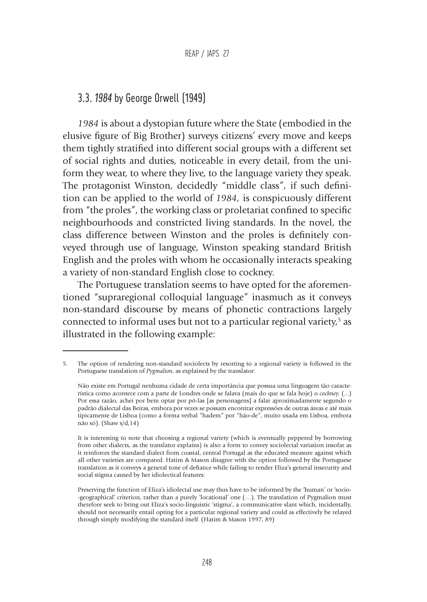### 3.3. *1984* by George Orwell (1949)

*1984* is about a dystopian future where the State (embodied in the elusive figure of Big Brother) surveys citizens' every move and keeps them tightly stratified into different social groups with a different set of social rights and duties, noticeable in every detail, from the uniform they wear, to where they live, to the language variety they speak. The protagonist Winston, decidedly "middle class", if such definition can be applied to the world of *1984,* is conspicuously different from "the proles", the working class or proletariat confined to specific neighbourhoods and constricted living standards. In the novel, the class difference between Winston and the proles is definitely conveyed through use of language, Winston speaking standard British English and the proles with whom he occasionally interacts speaking a variety of non-standard English close to cockney.

The Portuguese translation seems to have opted for the aforementioned "supraregional colloquial language" inasmuch as it conveys non-standard discourse by means of phonetic contractions largely connected to informal uses but not to a particular regional variety,<sup>5</sup> as illustrated in the following example:

<sup>5.</sup> The option of rendering non-standard sociolects by resorting to a regional variety is followed in the Portuguese translation of *Pygmalion*, as explained by the translator:

Não existe em Portugal nenhuma cidade de certa importância que possua uma linguagem tão característica como acontece com a parte de Londres onde se falava (mais do que se fala hoje) o *cockney.* (...) Por essa razão, achei por bem optar por pô-las [as personagens] a falar aproximadamente segundo o padrão dialectal das Beiras, embora por vezes se possam encontrar expressões de outras áreas e até mais tipicamente de Lisboa (como a forma verbal "hadem" por "hão-de", muito usada em Lisboa, embora não só). (Shaw s/d,14)

It is interesting to note that choosing a regional variety (which is eventually peppered by borrowing from other dialects, as the translator explains) is also a form to convey sociolectal variation insofar as it reinforces the standard dialect from coastal, central Portugal as the educated measure against which all other varieties are compared. Hatim & Mason disagree with the option followed by the Portuguese translation as it conveys a general tone of defiance while failing to render Eliza's general insecurity and social stigma caused by her idiolectical features:

Preserving the function of Eliza's idiolectal use may thus have to be informed by the 'human' or 'socio- -geographical' criterion, rather than a purely 'locational' one (…). The translation of Pygmalion must therefore seek to bring out Eliza's socio-linguistic 'stigma', a communicative slant which, incidentally, should not necessarily entail opting for a particular regional variety and could as effectively be relayed through simply modifying the standard itself. (Hatim & Mason 1997, 89)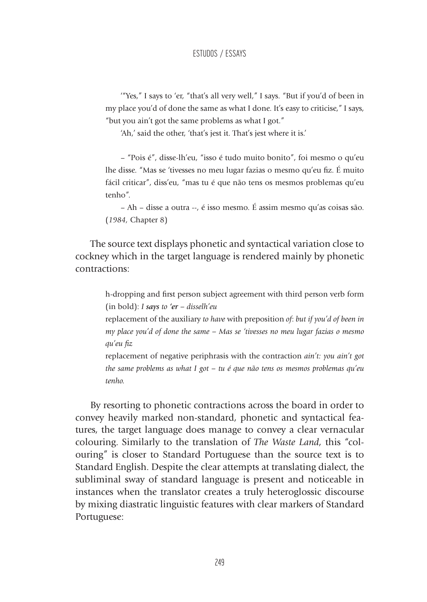'"Yes," I says to 'er, "that's all very well," I says. "But if you'd of been in my place you'd of done the same as what I done. It's easy to criticise," I says, "but you ain't got the same problems as what I got."

'Ah,' said the other, 'that's jest it. That's jest where it is.'

– "Pois é", disse-lh'eu, "isso é tudo muito bonito", foi mesmo o qu'eu lhe disse. "Mas se 'tivesses no meu lugar fazias o mesmo qu'eu fiz. É muito fácil criticar", diss'eu, "mas tu é que não tens os mesmos problemas qu'eu tenho".

– Ah – disse a outra --, é isso mesmo. É assim mesmo qu'as coisas são. (*1984,* Chapter 8)

The source text displays phonetic and syntactical variation close to cockney which in the target language is rendered mainly by phonetic contractions:

> h-dropping and first person subject agreement with third person verb form (in bold): *I says to 'er – disselh'eu*

> replacement of the auxiliary *to have* with preposition *of*: *but if you'd of been in my place you'd of done the same – Mas se 'tivesses no meu lugar fazias o mesmo qu'eu fiz*

> replacement of negative periphrasis with the contraction *ain't: you ain't got the same problems as what I got – tu é que não tens os mesmos problemas qu'eu tenho.*

By resorting to phonetic contractions across the board in order to convey heavily marked non-standard, phonetic and syntactical features, the target language does manage to convey a clear vernacular colouring. Similarly to the translation of *The Waste Land*, this "colouring" is closer to Standard Portuguese than the source text is to Standard English. Despite the clear attempts at translating dialect, the subliminal sway of standard language is present and noticeable in instances when the translator creates a truly heteroglossic discourse by mixing diastratic linguistic features with clear markers of Standard Portuguese: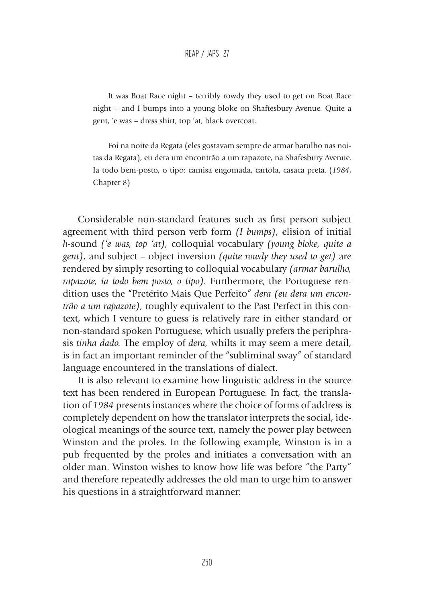It was Boat Race night – terribly rowdy they used to get on Boat Race night – and I bumps into a young bloke on Shaftesbury Avenue. Quite a gent, 'e was – dress shirt, top 'at, black overcoat.

Foi na noite da Regata (eles gostavam sempre de armar barulho nas noitas da Regata), eu dera um encontrão a um rapazote, na Shafesbury Avenue. Ia todo bem-posto, o tipo: camisa engomada, cartola, casaca preta. (*1984*, Chapter 8)

Considerable non-standard features such as first person subject agreement with third person verb form *(I bumps)*, elision of initial *h-*sound *('e was, top 'at),* colloquial vocabulary *(young bloke, quite a gent)*, and subject – object inversion *(quite rowdy they used to get)* are rendered by simply resorting to colloquial vocabulary *(armar barulho, rapazote, ia todo bem posto, o tipo).* Furthermore, the Portuguese rendition uses the "Pretérito Mais Que Perfeito" *dera (eu dera um encontrão a um rapazote)*, roughly equivalent to the Past Perfect in this context, which I venture to guess is relatively rare in either standard or non-standard spoken Portuguese, which usually prefers the periphrasis *tinha dado.* The employ of *dera,* whilts it may seem a mere detail, is in fact an important reminder of the "subliminal sway" of standard language encountered in the translations of dialect.

It is also relevant to examine how linguistic address in the source text has been rendered in European Portuguese. In fact, the translation of *1984* presents instances where the choice of forms of address is completely dependent on how the translator interprets the social, ideological meanings of the source text, namely the power play between Winston and the proles. In the following example, Winston is in a pub frequented by the proles and initiates a conversation with an older man. Winston wishes to know how life was before "the Party" and therefore repeatedly addresses the old man to urge him to answer his questions in a straightforward manner: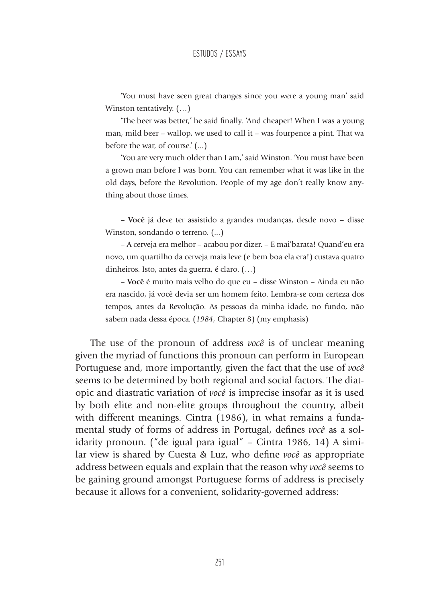'You must have seen great changes since you were a young man' said Winston tentatively. (…)

'The beer was better,' he said finally. 'And cheaper! When I was a young man, mild beer – wallop, we used to call it – was fourpence a pint. That wa before the war, of course.' (...)

'You are very much older than I am,' said Winston. 'You must have been a grown man before I was born. You can remember what it was like in the old days, before the Revolution. People of my age don't really know anything about those times.

– **Você** já deve ter assistido a grandes mudanças, desde novo – disse Winston, sondando o terreno. (...)

– A cerveja era melhor – acabou por dizer. – E mai'barata! Quand'eu era novo, um quartilho da cerveja mais leve (e bem boa ela era!) custava quatro dinheiros. Isto, antes da guerra, é claro. (…)

– **Você** é muito mais velho do que eu – disse Winston – Ainda eu não era nascido, já você devia ser um homem feito. Lembra-se com certeza dos tempos, antes da Revolução. As pessoas da minha idade, no fundo, não sabem nada dessa época. (*1984*, Chapter 8) (my emphasis)

The use of the pronoun of address *você* is of unclear meaning given the myriad of functions this pronoun can perform in European Portuguese and, more importantly, given the fact that the use of *você*  seems to be determined by both regional and social factors. The diatopic and diastratic variation of *você* is imprecise insofar as it is used by both elite and non-elite groups throughout the country, albeit with different meanings. Cintra (1986), in what remains a fundamental study of forms of address in Portugal, defines *você* as a solidarity pronoun. ("de igual para igual" – Cintra 1986, 14) A similar view is shared by Cuesta & Luz, who define *você* as appropriate address between equals and explain that the reason why *você* seems to be gaining ground amongst Portuguese forms of address is precisely because it allows for a convenient, solidarity-governed address: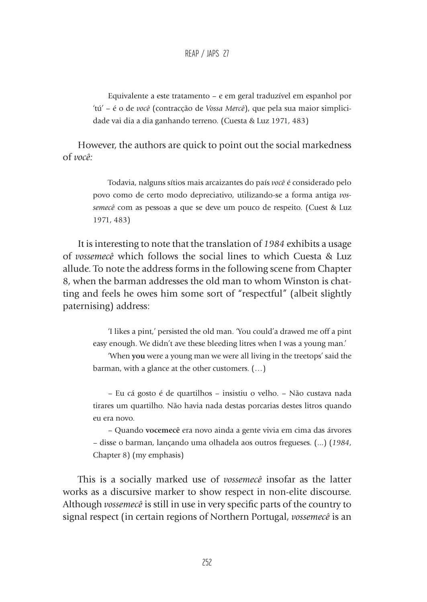Equivalente a este tratamento – e em geral traduzível em espanhol por 'tú' – é o de *você* (contracção de *Vossa Mercê*), que pela sua maior simplicidade vai dia a dia ganhando terreno. (Cuesta & Luz 1971, 483)

However, the authors are quick to point out the social markedness of *você:* 

> Todavia, nalguns sítios mais arcaizantes do país *você* é considerado pelo povo como de certo modo depreciativo, utilizando-se a forma antiga *vossemecê* com as pessoas a que se deve um pouco de respeito. (Cuest & Luz 1971, 483)

It is interesting to note that the translation of *1984* exhibits a usage of *vossemecê* which follows the social lines to which Cuesta & Luz allude. To note the address forms in the following scene from Chapter 8, when the barman addresses the old man to whom Winston is chatting and feels he owes him some sort of "respectful" (albeit slightly paternising) address:

> 'I likes a pint,' persisted the old man. 'You could'a drawed me off a pint easy enough. We didn't ave these bleeding litres when I was a young man.'

> 'When **you** were a young man we were all living in the treetops' said the barman, with a glance at the other customers. (…)

> – Eu cá gosto é de quartilhos – insistiu o velho. – Não custava nada tirares um quartilho. Não havia nada destas porcarias destes litros quando eu era novo.

> – Quando **vocemecê** era novo ainda a gente vivia em cima das árvores – disse o barman, lançando uma olhadela aos outros fregueses. (...) (*1984*, Chapter 8) (my emphasis)

This is a socially marked use of *vossemecê* insofar as the latter works as a discursive marker to show respect in non-elite discourse. Although *vossemecê* is still in use in very specific parts of the country to signal respect (in certain regions of Northern Portugal, *vossemecê* is an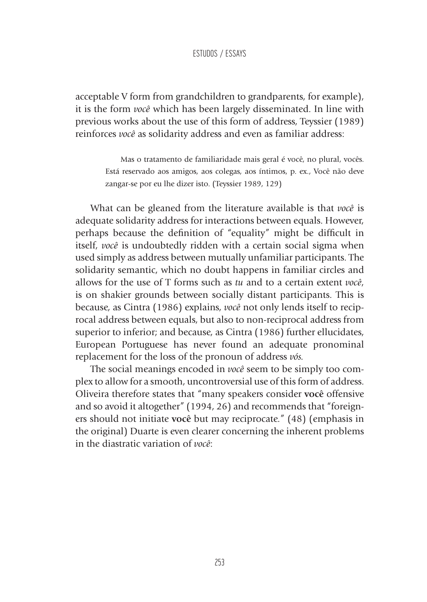acceptable V form from grandchildren to grandparents, for example), it is the form *você* which has been largely disseminated. In line with previous works about the use of this form of address, Teyssier (1989) reinforces *você* as solidarity address and even as familiar address:

> Mas o tratamento de familiaridade mais geral é você, no plural, vocês. Está reservado aos amigos, aos colegas, aos íntimos, p. ex., Você não deve zangar-se por eu lhe dizer isto. (Teyssier 1989, 129)

What can be gleaned from the literature available is that *você* is adequate solidarity address for interactions between equals. However, perhaps because the definition of "equality" might be difficult in itself, *você* is undoubtedly ridden with a certain social sigma when used simply as address between mutually unfamiliar participants. The solidarity semantic, which no doubt happens in familiar circles and allows for the use of T forms such as *tu* and to a certain extent *você*, is on shakier grounds between socially distant participants. This is because, as Cintra (1986) explains, *você* not only lends itself to reciprocal address between equals, but also to non-reciprocal address from superior to inferior; and because, as Cintra (1986) further ellucidates, European Portuguese has never found an adequate pronominal replacement for the loss of the pronoun of address *vós.*

The social meanings encoded in *você* seem to be simply too complex to allow for a smooth, uncontroversial use of this form of address. Oliveira therefore states that "many speakers consider **você** offensive and so avoid it altogether" (1994, 26) and recommends that "foreigners should not initiate **você** but may reciprocate." (48) (emphasis in the original) Duarte is even clearer concerning the inherent problems in the diastratic variation of *você*: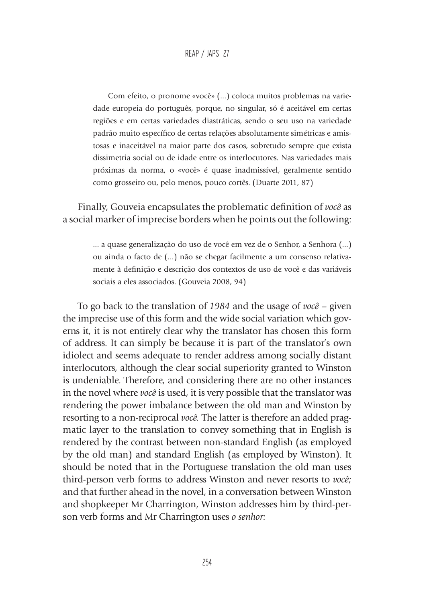Com efeito, o pronome «você» (...) coloca muitos problemas na variedade europeia do português, porque, no singular, só é aceitável em certas regiões e em certas variedades diastráticas, sendo o seu uso na variedade padrão muito específico de certas relações absolutamente simétricas e amistosas e inaceitável na maior parte dos casos, sobretudo sempre que exista dissimetria social ou de idade entre os interlocutores. Nas variedades mais próximas da norma, o «você» é quase inadmissível, geralmente sentido como grosseiro ou, pelo menos, pouco cortês. (Duarte 2011, 87)

Finally, Gouveia encapsulates the problematic definition of *você* as a social marker of imprecise borders when he points out the following:

> ... a quase generalização do uso de você em vez de o Senhor, a Senhora (...) ou ainda o facto de (...) não se chegar facilmente a um consenso relativamente à definição e descrição dos contextos de uso de você e das variáveis sociais a eles associados. (Gouveia 2008, 94)

To go back to the translation of *1984* and the usage of *você* – given the imprecise use of this form and the wide social variation which governs it, it is not entirely clear why the translator has chosen this form of address. It can simply be because it is part of the translator's own idiolect and seems adequate to render address among socially distant interlocutors, although the clear social superiority granted to Winston is undeniable. Therefore, and considering there are no other instances in the novel where *você* is used, it is very possible that the translator was rendering the power imbalance between the old man and Winston by resorting to a non-reciprocal *você.* The latter is therefore an added pragmatic layer to the translation to convey something that in English is rendered by the contrast between non-standard English (as employed by the old man) and standard English (as employed by Winston). It should be noted that in the Portuguese translation the old man uses third-person verb forms to address Winston and never resorts to *você;*  and that further ahead in the novel, in a conversation between Winston and shopkeeper Mr Charrington, Winston addresses him by third-person verb forms and Mr Charrington uses *o senhor:*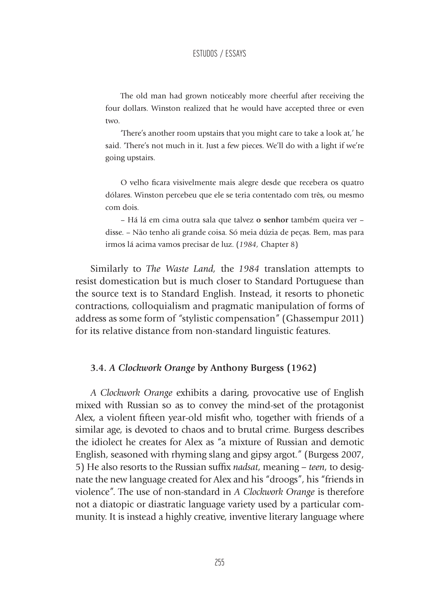The old man had grown noticeably more cheerful after receiving the four dollars. Winston realized that he would have accepted three or even two.

'There's another room upstairs that you might care to take a look at,' he said. 'There's not much in it. Just a few pieces. We'll do with a light if we're going upstairs.

O velho ficara visivelmente mais alegre desde que recebera os quatro dólares. Winston percebeu que ele se teria contentado com três, ou mesmo com dois.

– Há lá em cima outra sala que talvez **o senhor** também queira ver – disse. – Não tenho ali grande coisa. Só meia dúzia de peças. Bem, mas para irmos lá acima vamos precisar de luz. (*1984,* Chapter 8)

Similarly to *The Waste Land,* the *1984* translation attempts to resist domestication but is much closer to Standard Portuguese than the source text is to Standard English. Instead, it resorts to phonetic contractions, colloquialism and pragmatic manipulation of forms of address as some form of *"*stylistic compensation" (Ghassempur 2011) for its relative distance from non-standard linguistic features.

### **3.4.** *A Clockwork Orange* **by Anthony Burgess (1962)**

*A Clockwork Orange* exhibits a daring, provocative use of English mixed with Russian so as to convey the mind-set of the protagonist Alex, a violent fifteen year-old misfit who, together with friends of a similar age, is devoted to chaos and to brutal crime. Burgess describes the idiolect he creates for Alex as "a mixture of Russian and demotic English, seasoned with rhyming slang and gipsy argot." (Burgess 2007, 5) He also resorts to the Russian suffix *nadsat*, meaning *– teen*, to designate the new language created for Alex and his "droogs", his "friends in violence". The use of non-standard in *A Clockwork Orange* is therefore not a diatopic or diastratic language variety used by a particular community. It is instead a highly creative, inventive literary language where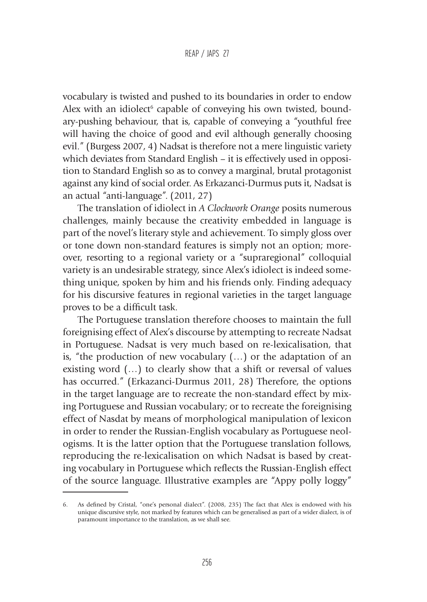### REAP / JAPS 27

vocabulary is twisted and pushed to its boundaries in order to endow Alex with an idiolect<sup>6</sup> capable of conveying his own twisted, boundary-pushing behaviour, that is, capable of conveying a "youthful free will having the choice of good and evil although generally choosing evil." (Burgess 2007, 4) Nadsat is therefore not a mere linguistic variety which deviates from Standard English – it is effectively used in opposition to Standard English so as to convey a marginal, brutal protagonist against any kind of social order. As Erkazanci-Durmus puts it, Nadsat is an actual "anti-language". (2011, 27)

The translation of idiolect in *A Clockwork Orange* posits numerous challenges, mainly because the creativity embedded in language is part of the novel's literary style and achievement. To simply gloss over or tone down non-standard features is simply not an option; moreover, resorting to a regional variety or a "supraregional" colloquial variety is an undesirable strategy, since Alex's idiolect is indeed something unique, spoken by him and his friends only. Finding adequacy for his discursive features in regional varieties in the target language proves to be a difficult task.

The Portuguese translation therefore chooses to maintain the full foreignising effect of Alex's discourse by attempting to recreate Nadsat in Portuguese. Nadsat is very much based on re-lexicalisation, that is, "the production of new vocabulary (…) or the adaptation of an existing word (…) to clearly show that a shift or reversal of values has occurred." (Erkazanci-Durmus 2011, 28) Therefore, the options in the target language are to recreate the non-standard effect by mixing Portuguese and Russian vocabulary; or to recreate the foreignising effect of Nasdat by means of morphological manipulation of lexicon in order to render the Russian-English vocabulary as Portuguese neologisms. It is the latter option that the Portuguese translation follows, reproducing the re-lexicalisation on which Nadsat is based by creating vocabulary in Portuguese which reflects the Russian-English effect of the source language. Illustrative examples are "Appy polly loggy"

<sup>6.</sup> As defined by Cristal, "one's personal dialect". (2008, 235) The fact that Alex is endowed with his unique discursive style, not marked by features which can be generalised as part of a wider dialect, is of paramount importance to the translation, as we shall see.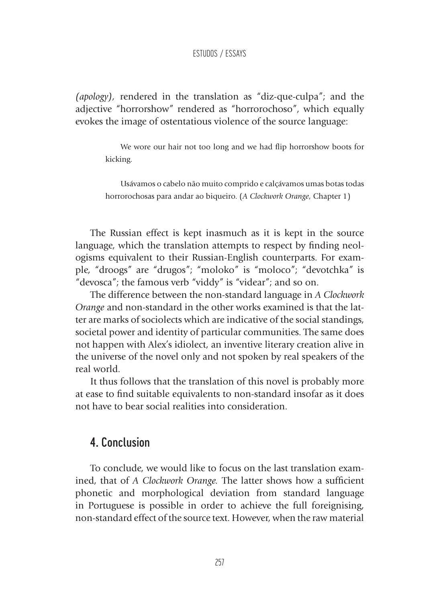*(apology),* rendered in the translation as "diz-que-culpa"; and the adjective "horrorshow" rendered as "horrorochoso", which equally evokes the image of ostentatious violence of the source language:

> We wore our hair not too long and we had flip horrorshow boots for kicking.

> Usávamos o cabelo não muito comprido e calçávamos umas botas todas horrorochosas para andar ao biqueiro. (*A Clockwork Orange*, Chapter 1)

The Russian effect is kept inasmuch as it is kept in the source language, which the translation attempts to respect by finding neologisms equivalent to their Russian-English counterparts. For example, "droogs" are "drugos"; "moloko" is "moloco"; "devotchka" is "devosca"; the famous verb "viddy" is "videar"; and so on.

The difference between the non-standard language in *A Clockwork Orange* and non-standard in the other works examined is that the latter are marks of sociolects which are indicative of the social standings, societal power and identity of particular communities. The same does not happen with Alex's idiolect, an inventive literary creation alive in the universe of the novel only and not spoken by real speakers of the real world.

It thus follows that the translation of this novel is probably more at ease to find suitable equivalents to non-standard insofar as it does not have to bear social realities into consideration.

### 4. Conclusion

To conclude, we would like to focus on the last translation examined, that of *A Clockwork Orange.* The latter shows how a sufficient phonetic and morphological deviation from standard language in Portuguese is possible in order to achieve the full foreignising, non-standard effect of the source text. However, when the raw material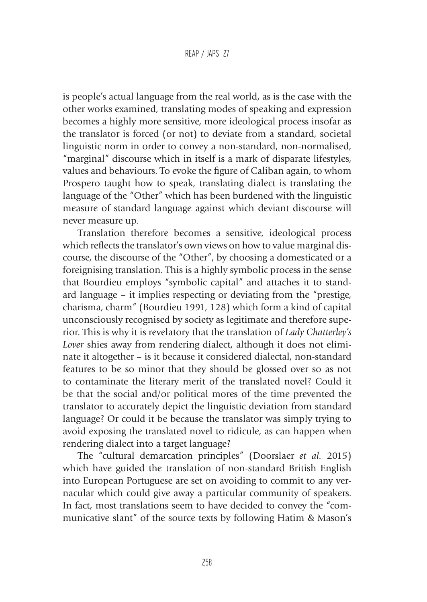is people's actual language from the real world, as is the case with the other works examined, translating modes of speaking and expression becomes a highly more sensitive, more ideological process insofar as the translator is forced (or not) to deviate from a standard, societal linguistic norm in order to convey a non-standard, non-normalised, "marginal" discourse which in itself is a mark of disparate lifestyles, values and behaviours. To evoke the figure of Caliban again, to whom Prospero taught how to speak, translating dialect is translating the language of the "Other" which has been burdened with the linguistic measure of standard language against which deviant discourse will never measure up.

Translation therefore becomes a sensitive, ideological process which reflects the translator's own views on how to value marginal discourse, the discourse of the "Other", by choosing a domesticated or a foreignising translation. This is a highly symbolic process in the sense that Bourdieu employs "symbolic capital" and attaches it to standard language – it implies respecting or deviating from the "prestige, charisma, charm" (Bourdieu 1991, 128) which form a kind of capital unconsciously recognised by society as legitimate and therefore superior. This is why it is revelatory that the translation of *Lady Chatterley's Lover* shies away from rendering dialect, although it does not eliminate it altogether – is it because it considered dialectal, non-standard features to be so minor that they should be glossed over so as not to contaminate the literary merit of the translated novel? Could it be that the social and/or political mores of the time prevented the translator to accurately depict the linguistic deviation from standard language? Or could it be because the translator was simply trying to avoid exposing the translated novel to ridicule, as can happen when rendering dialect into a target language?

The "cultural demarcation principles" (Doorslaer *et al.* 2015) which have guided the translation of non-standard British English into European Portuguese are set on avoiding to commit to any vernacular which could give away a particular community of speakers. In fact, most translations seem to have decided to convey the "communicative slant" of the source texts by following Hatim & Mason's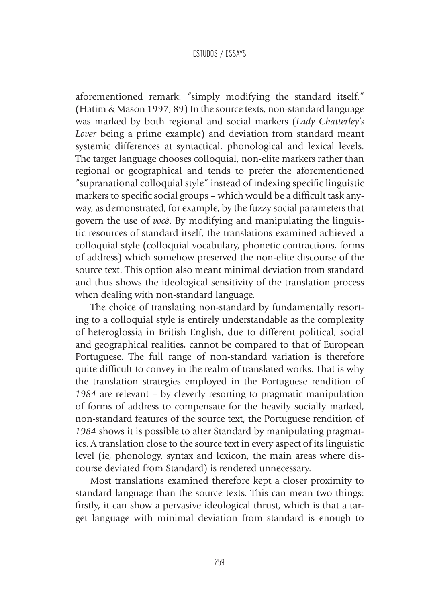aforementioned remark: "simply modifying the standard itself." (Hatim & Mason 1997, 89) In the source texts, non-standard language was marked by both regional and social markers (*Lady Chatterley's Lover* being a prime example) and deviation from standard meant systemic differences at syntactical, phonological and lexical levels. The target language chooses colloquial, non-elite markers rather than regional or geographical and tends to prefer the aforementioned "supranational colloquial style" instead of indexing specific linguistic markers to specific social groups – which would be a difficult task anyway, as demonstrated, for example, by the fuzzy social parameters that govern the use of *você*. By modifying and manipulating the linguistic resources of standard itself, the translations examined achieved a colloquial style (colloquial vocabulary, phonetic contractions, forms of address) which somehow preserved the non-elite discourse of the source text. This option also meant minimal deviation from standard and thus shows the ideological sensitivity of the translation process when dealing with non-standard language.

The choice of translating non-standard by fundamentally resorting to a colloquial style is entirely understandable as the complexity of heteroglossia in British English, due to different political, social and geographical realities, cannot be compared to that of European Portuguese. The full range of non-standard variation is therefore quite difficult to convey in the realm of translated works. That is why the translation strategies employed in the Portuguese rendition of *1984* are relevant – by cleverly resorting to pragmatic manipulation of forms of address to compensate for the heavily socially marked, non-standard features of the source text, the Portuguese rendition of *1984* shows it is possible to alter Standard by manipulating pragmatics. A translation close to the source text in every aspect of its linguistic level (ie, phonology, syntax and lexicon, the main areas where discourse deviated from Standard) is rendered unnecessary.

Most translations examined therefore kept a closer proximity to standard language than the source texts. This can mean two things: firstly, it can show a pervasive ideological thrust, which is that a target language with minimal deviation from standard is enough to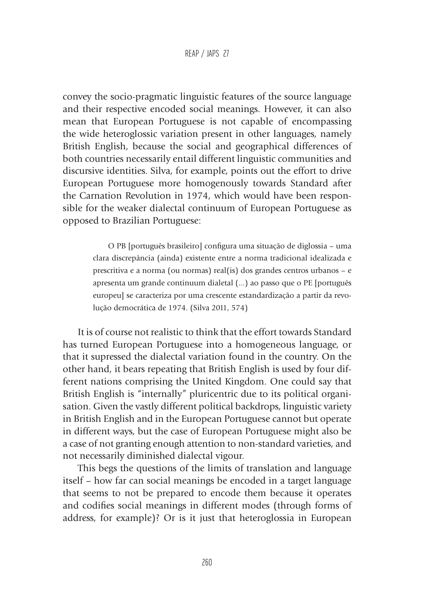convey the socio-pragmatic linguistic features of the source language and their respective encoded social meanings. However, it can also mean that European Portuguese is not capable of encompassing the wide heteroglossic variation present in other languages, namely British English, because the social and geographical differences of both countries necessarily entail different linguistic communities and discursive identities. Silva, for example, points out the effort to drive European Portuguese more homogenously towards Standard after the Carnation Revolution in 1974, which would have been responsible for the weaker dialectal continuum of European Portuguese as opposed to Brazilian Portuguese:

> O PB [português brasileiro] configura uma situação de diglossia – uma clara discrepância (ainda) existente entre a norma tradicional idealizada e prescritiva e a norma (ou normas) real(is) dos grandes centros urbanos – e apresenta um grande continuum dialetal (...) ao passo que o PE [português europeu] se caracteriza por uma crescente estandardização a partir da revolução democrática de 1974. (Silva 2011, 574)

It is of course not realistic to think that the effort towards Standard has turned European Portuguese into a homogeneous language, or that it supressed the dialectal variation found in the country. On the other hand, it bears repeating that British English is used by four different nations comprising the United Kingdom. One could say that British English is "internally" pluricentric due to its political organisation. Given the vastly different political backdrops, linguistic variety in British English and in the European Portuguese cannot but operate in different ways, but the case of European Portuguese might also be a case of not granting enough attention to non-standard varieties, and not necessarily diminished dialectal vigour.

This begs the questions of the limits of translation and language itself – how far can social meanings be encoded in a target language that seems to not be prepared to encode them because it operates and codifies social meanings in different modes (through forms of address, for example)? Or is it just that heteroglossia in European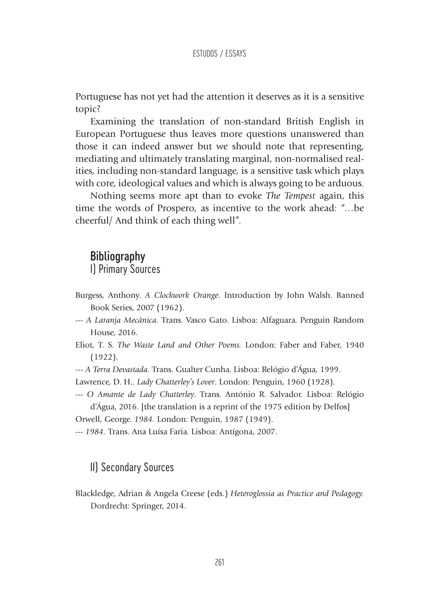Portuguese has not yet had the attention it deserves as it is a sensitive topic?

Examining the translation of non-standard British English in European Portuguese thus leaves more questions unanswered than those it can indeed answer but we should note that representing, mediating and ultimately translating marginal, non-normalised realities, including non-standard language, is a sensitive task which plays with core, ideological values and which is always going to be arduous.

Nothing seems more apt than to evoke *The Tempest* again, this time the words of Prospero, as incentive to the work ahead: "…be cheerful/ And think of each thing well".

# **Bibliography** I) Primary Sources

Burgess, Anthony. *A Clockwork Orange*. Introduction by John Walsh. Banned Book Series, 2007 (1962).

- --- *A Laranja Mecânica*. Trans. Vasco Gato. Lisboa: Alfaguara. Penguin Random House, 2016.
- Eliot, T. S. *The Waste Land and Other Poems.* London: Faber and Faber, 1940 (1922).
- --- *A Terra Devastada*. Trans. Gualter Cunha. Lisboa: Relógio d'Água, 1999.
- Lawrence, D. H.. *Lady Chatterley's Lover*. London: Penguin, 1960 (1928).
- --- *O Amante de Lady Chatterley*. Trans. António R. Salvador. Lisboa: Relógio d'Água, 2016. [the translation is a reprint of the 1975 edition by Delfos] Orwell, George. *1984.* London: Penguin, 1987 (1949).
- --- *1984.* Trans. Ana Luísa Faria. Lisboa: Antígona, 2007.

### II) Secondary Sources

Blackledge, Adrian & Angela Creese (eds.) *Heteroglossia as Practice and Pedagogy.*  Dordrecht: Springer, 2014.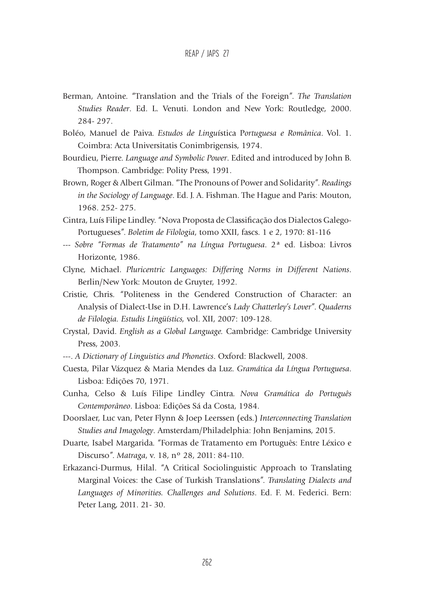- Berman, Antoine. "Translation and the Trials of the Foreign". *The Translation Studies Reader*. Ed. L. Venuti. London and New York: Routledge, 2000. 284- 297.
- Boléo, Manuel de Paiva. *Estudos de Lingu*ística P*ortuguesa e Românica*. Vol. 1. Coimbra: Acta Universitatis Conimbrigensis, 1974.
- Bourdieu, Pierre. *Language and Symbolic Power*. Edited and introduced by John B. Thompson. Cambridge: Polity Press, 1991.
- Brown, Roger & Albert Gilman. "The Pronouns of Power and Solidarity". *Readings in the Sociology of Language*. Ed. J. A. Fishman. The Hague and Paris: Mouton, 1968. 252- 275.
- Cintra, Luís Filipe Lindley. "Nova Proposta de Classificação dos Dialectos Galego-Portugueses". *Boletim de Filologia*, tomo XXII, fascs. 1 e 2, 1970: 81-116
- --- *Sobre "Formas de Tratamento" na Língua Portuguesa*. 2ª ed. Lisboa: Livros Horizonte, 1986.
- Clyne, Michael. *Pluricentric Languages: Differing Norms in Different Nations*. Berlin/New York: Mouton de Gruyter, 1992.
- Cristie, Chris. "Politeness in the Gendered Construction of Character: an Analysis of Dialect-Use in D.H. Lawrence's *Lady Chatterley's Lover*". *Quaderns de Filologia. Estudis Lingüístics,* vol. XII, 2007: 109-128.
- Crystal, David. *English as a Global Language.* Cambridge: Cambridge University Press, 2003.
- ---. *A Dictionary of Linguistics and Phonetics*. Oxford: Blackwell, 2008.
- Cuesta, Pilar Vázquez & Maria Mendes da Luz. *Gramática da Língua Portuguesa*. Lisboa: Edições 70, 1971.
- Cunha, Celso & Luís Filipe Lindley Cintra. *Nova Gramática do Português Contemporâneo*. Lisboa: Edições Sá da Costa, 1984.
- Doorslaer, Luc van, Peter Flynn & Joep Leerssen (eds.) *Interconnecting Translation Studies and Imagology*. Amsterdam/Philadelphia: John Benjamins, 2015.
- Duarte, Isabel Margarida. "Formas de Tratamento em Português: Entre Léxico e Discurso". *Matraga*, v. 18, nº 28, 2011: 84-110.
- Erkazanci-Durmus, Hilal. "A Critical Sociolinguistic Approach to Translating Marginal Voices: the Case of Turkish Translations". *Translating Dialects and Languages of Minorities. Challenges and Solutions*. Ed. F. M. Federici. Bern: Peter Lang, 2011. 21- 30.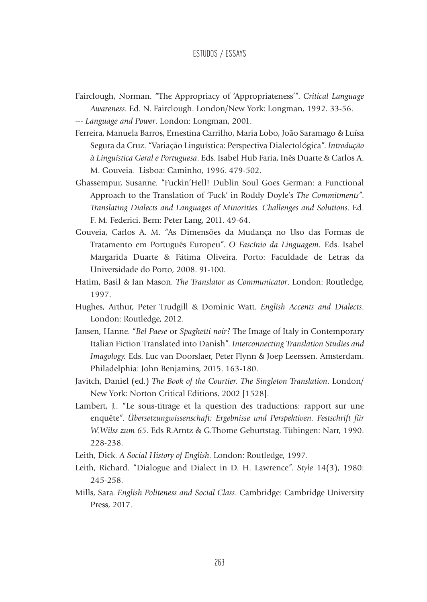- Fairclough, Norman. "The Appropriacy of 'Appropriateness'". *Critical Language Awareness*. Ed. N. Fairclough. London/New York: Longman, 1992. 33-56.
- --- *Language and Power*. London: Longman, 2001.
- Ferreira, Manuela Barros, Ernestina Carrilho, Maria Lobo, João Saramago & Luísa Segura da Cruz. "Variação Linguística: Perspectiva Dialectológica". *Introdução à Linguística Geral e Portuguesa*. Eds. Isabel Hub Faria, Inês Duarte & Carlos A. M. Gouveia. Lisboa: Caminho, 1996. 479-502.
- Ghassempur, Susanne. "Fuckin'Hell! Dublin Soul Goes German: a Functional Approach to the Translation of 'Fuck' in Roddy Doyle's *The Commitments*". *Translating Dialects and Languages of Minorities. Challenges and Solutions*. Ed. F. M. Federici. Bern: Peter Lang, 2011. 49-64.
- Gouveia, Carlos A. M. "As Dimensões da Mudança no Uso das Formas de Tratamento em Português Europeu". *O Fascínio da Linguagem.* Eds. Isabel Margarida Duarte & Fátima Oliveira. Porto: Faculdade de Letras da Universidade do Porto, 2008. 91-100.
- Hatim, Basil & Ian Mason. *The Translator as Communicator*. London: Routledge, 1997.
- Hughes, Arthur, Peter Trudgill & Dominic Watt. *English Accents and Dialects*. London: Routledge, 2012.
- Jansen, Hanne. "*Bel Paese* or *Spaghetti noir?* The Image of Italy in Contemporary Italian Fiction Translated into Danish". *Interconnecting Translation Studies and Imagology.* Eds. Luc van Doorslaer, Peter Flynn & Joep Leerssen. Amsterdam. Philadelphia: John Benjamins, 2015. 163-180.
- Javitch, Daniel (ed.) *The Book of the Courtier. The Singleton Translation*. London/ New York: Norton Critical Editions, 2002 [1528].
- Lambert, J.. "Le sous-titrage et la question des traductions: rapport sur une enquête". *Übersetzungwissenschaft: Ergebnisse und Perspektiven. Festschrift für W.Wilss zum 65*. Eds R.Arntz & G.Thome Geburtstag. Tübingen: Narr, 1990. 228-238.
- Leith, Dick. *A Social History of English*. London: Routledge, 1997.
- Leith, Richard. "Dialogue and Dialect in D. H. Lawrence". *Style* 14(3), 1980: 245-258.
- Mills, Sara. *English Politeness and Social Class*. Cambridge: Cambridge University Press, 2017.